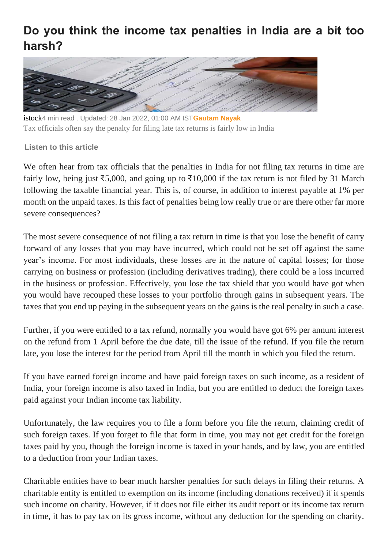## **Do you think the income tax penalties in India are a bit too harsh?**



istock4 min read . Updated: 28 Jan 2022, 01:00 AM IST**[Gautam Nayak](https://www.livemint.com/Search/Link/Author/Gautam-Nayak)** Tax officials often say the penalty for filing late tax returns is fairly low in India

## **Listen to this article**

We often hear from tax officials that the penalties in India for not filing tax returns in time are fairly low, being just ₹5,000, and going up to ₹10,000 if the tax return is not filed by 31 March following the taxable financial year. This is, of course, in addition to interest payable at 1% per month on the unpaid taxes. Is this fact of penalties being low really true or are there other far more severe consequences?

The most severe consequence of not filing a tax return in time is that you lose the benefit of carry forward of any losses that you may have incurred, which could not be set off against the same year's income. For most individuals, these losses are in the nature of capital losses; for those carrying on business or profession (including derivatives trading), there could be a loss incurred in the business or profession. Effectively, you lose the tax shield that you would have got when you would have recouped these losses to your portfolio through gains in subsequent years. The taxes that you end up paying in the subsequent years on the gains is the real penalty in such a case.

Further, if you were entitled to a tax refund, normally you would have got 6% per annum interest on the refund from 1 April before the due date, till the issue of the refund. If you file the return late, you lose the interest for the period from April till the month in which you filed the return.

If you have earned foreign income and have paid foreign taxes on such income, as a resident of India, your foreign income is also taxed in India, but you are entitled to deduct the foreign taxes paid against your Indian income tax liability.

Unfortunately, the law requires you to file a form before you file the return, claiming credit of such foreign taxes. If you forget to file that form in time, you may not get credit for the foreign taxes paid by you, though the foreign income is taxed in your hands, and by law, you are entitled to a deduction from your Indian taxes.

Charitable entities have to bear much harsher penalties for such delays in filing their returns. A charitable entity is entitled to exemption on its income (including donations received) if it spends such income on charity. However, if it does not file either its audit report or its income tax return in time, it has to pay tax on its gross income, without any deduction for the spending on charity.